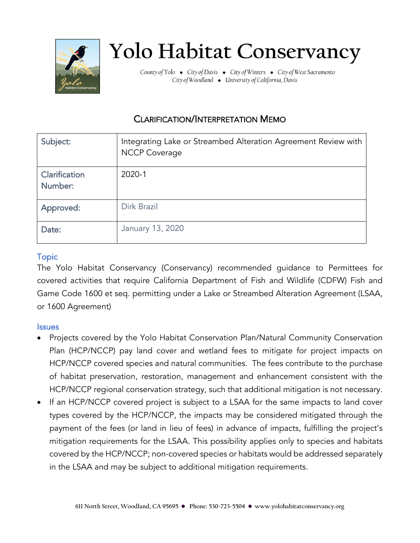

# **Yolo Habitat Conservancy**

County of Yolo . City of Davis . City of Winters . City of West Sacramento City of Woodland . University of California, Davis

# CLARIFICATION/INTERPRETATION MEMO

| Subject:                 | Integrating Lake or Streambed Alteration Agreement Review with<br><b>NCCP Coverage</b> |
|--------------------------|----------------------------------------------------------------------------------------|
| Clarification<br>Number: | 2020-1                                                                                 |
| Approved:                | Dirk Brazil                                                                            |
| Date:                    | January 13, 2020                                                                       |

## **Topic**

The Yolo Habitat Conservancy (Conservancy) recommended guidance to Permittees for covered activities that require California Department of Fish and Wildlife (CDFW) Fish and Game Code 1600 et seq. permitting under a Lake or Streambed Alteration Agreement (LSAA, or 1600 Agreement)

#### **Issues**

- Projects covered by the Yolo Habitat Conservation Plan/Natural Community Conservation Plan (HCP/NCCP) pay land cover and wetland fees to mitigate for project impacts on HCP/NCCP covered species and natural communities. The fees contribute to the purchase of habitat preservation, restoration, management and enhancement consistent with the HCP/NCCP regional conservation strategy, such that additional mitigation is not necessary.
- If an HCP/NCCP covered project is subject to a LSAA for the same impacts to land cover types covered by the HCP/NCCP, the impacts may be considered mitigated through the payment of the fees (or land in lieu of fees) in advance of impacts, fulfilling the project's mitigation requirements for the LSAA. This possibility applies only to species and habitats covered by the HCP/NCCP; non-covered species or habitats would be addressed separately in the LSAA and may be subject to additional mitigation requirements.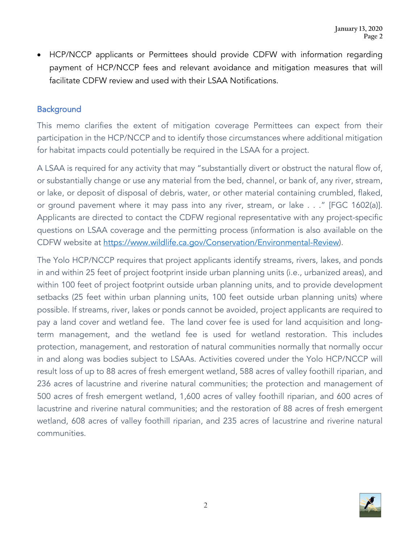• HCP/NCCP applicants or Permittees should provide CDFW with information regarding payment of HCP/NCCP fees and relevant avoidance and mitigation measures that will facilitate CDFW review and used with their LSAA Notifications.

#### **Background**

This memo clarifies the extent of mitigation coverage Permittees can expect from their participation in the HCP/NCCP and to identify those circumstances where additional mitigation for habitat impacts could potentially be required in the LSAA for a project.

A LSAA is required for any activity that may "substantially divert or obstruct the natural flow of, or substantially change or use any material from the bed, channel, or bank of, any river, stream, or lake, or deposit of disposal of debris, water, or other material containing crumbled, flaked, or ground pavement where it may pass into any river, stream, or lake . . ." [FGC 1602(a)]. Applicants are directed to contact the CDFW regional representative with any project-specific questions on LSAA coverage and the permitting process (information is also available on the CDFW website at [https://www.wildlife.ca.gov/Conservation/Environmental-Review\)](https://www.wildlife.ca.gov/Conservation/Environmental-Review).

The Yolo HCP/NCCP requires that project applicants identify streams, rivers, lakes, and ponds in and within 25 feet of project footprint inside urban planning units (i.e., urbanized areas), and within 100 feet of project footprint outside urban planning units, and to provide development setbacks (25 feet within urban planning units, 100 feet outside urban planning units) where possible. If streams, river, lakes or ponds cannot be avoided, project applicants are required to pay a land cover and wetland fee. The land cover fee is used for land acquisition and longterm management, and the wetland fee is used for wetland restoration. This includes protection, management, and restoration of natural communities normally that normally occur in and along was bodies subject to LSAAs. Activities covered under the Yolo HCP/NCCP will result loss of up to 88 acres of fresh emergent wetland, 588 acres of valley foothill riparian, and 236 acres of lacustrine and riverine natural communities; the protection and management of 500 acres of fresh emergent wetland, 1,600 acres of valley foothill riparian, and 600 acres of lacustrine and riverine natural communities; and the restoration of 88 acres of fresh emergent wetland, 608 acres of valley foothill riparian, and 235 acres of lacustrine and riverine natural communities.

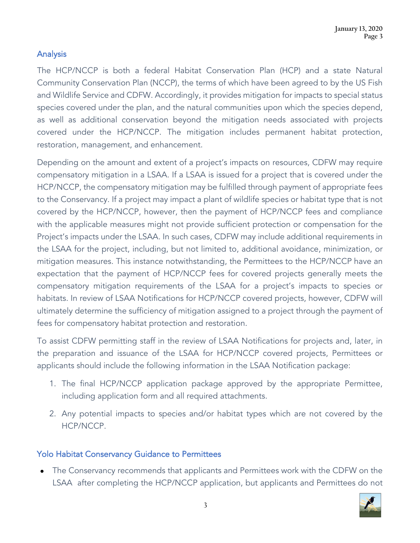## Analysis

The HCP/NCCP is both a federal Habitat Conservation Plan (HCP) and a state Natural Community Conservation Plan (NCCP), the terms of which have been agreed to by the US Fish and Wildlife Service and CDFW. Accordingly, it provides mitigation for impacts to special status species covered under the plan, and the natural communities upon which the species depend, as well as additional conservation beyond the mitigation needs associated with projects covered under the HCP/NCCP. The mitigation includes permanent habitat protection, restoration, management, and enhancement.

Depending on the amount and extent of a project's impacts on resources, CDFW may require compensatory mitigation in a LSAA. If a LSAA is issued for a project that is covered under the HCP/NCCP, the compensatory mitigation may be fulfilled through payment of appropriate fees to the Conservancy. If a project may impact a plant of wildlife species or habitat type that is not covered by the HCP/NCCP, however, then the payment of HCP/NCCP fees and compliance with the applicable measures might not provide sufficient protection or compensation for the Project's impacts under the LSAA. In such cases, CDFW may include additional requirements in the LSAA for the project, including, but not limited to, additional avoidance, minimization, or mitigation measures. This instance notwithstanding, the Permittees to the HCP/NCCP have an expectation that the payment of HCP/NCCP fees for covered projects generally meets the compensatory mitigation requirements of the LSAA for a project's impacts to species or habitats. In review of LSAA Notifications for HCP/NCCP covered projects, however, CDFW will ultimately determine the sufficiency of mitigation assigned to a project through the payment of fees for compensatory habitat protection and restoration.

To assist CDFW permitting staff in the review of LSAA Notifications for projects and, later, in the preparation and issuance of the LSAA for HCP/NCCP covered projects, Permittees or applicants should include the following information in the LSAA Notification package:

- 1. The final HCP/NCCP application package approved by the appropriate Permittee, including application form and all required attachments.
- 2. Any potential impacts to species and/or habitat types which are not covered by the HCP/NCCP.

#### Yolo Habitat Conservancy Guidance to Permittees

 The Conservancy recommends that applicants and Permittees work with the CDFW on the LSAA after completing the HCP/NCCP application, but applicants and Permittees do not